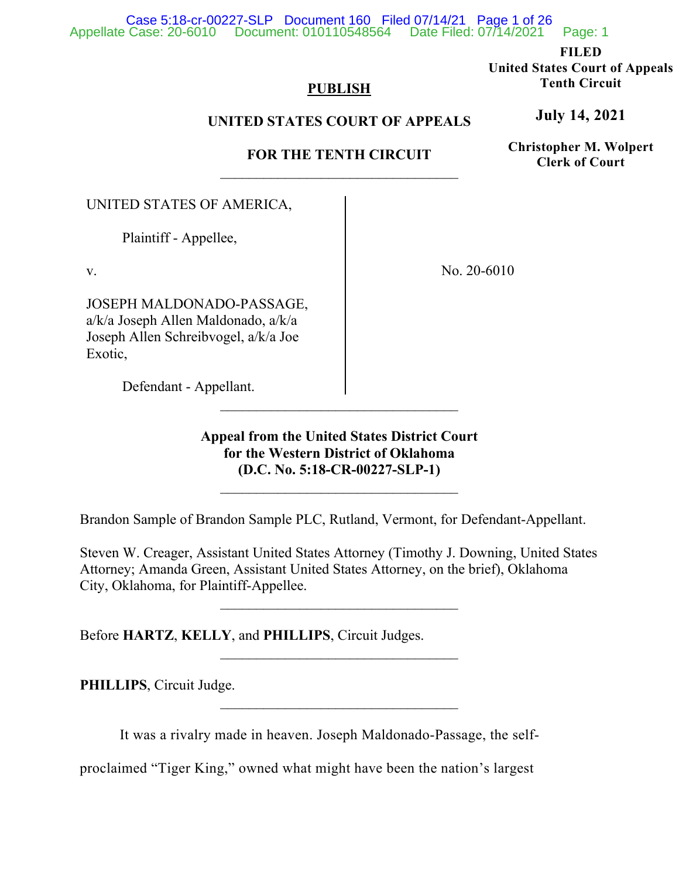### Appellate Case: 20-6010 Document: 010110548564 Date Filed: 07/14/2021 Page: 1 Case 5:18-cr-00227-SLP Document 160 Filed 07/14/21 Page 1 of 26

**FILED**

**United States Court of Appeals Tenth Circuit**

# **PUBLISH**

# **UNITED STATES COURT OF APPEALS**

# **FOR THE TENTH CIRCUIT**  $\overline{\phantom{a}}$  , where  $\overline{\phantom{a}}$  , where  $\overline{\phantom{a}}$  , where  $\overline{\phantom{a}}$

UNITED STATES OF AMERICA,

Plaintiff - Appellee,

v.

JOSEPH MALDONADO-PASSAGE, a/k/a Joseph Allen Maldonado, a/k/a Joseph Allen Schreibvogel, a/k/a Joe Exotic,

Defendant - Appellant.

No. 20-6010

**Appeal from the United States District Court for the Western District of Oklahoma (D.C. No. 5:18-CR-00227-SLP-1)**

 $\overline{\phantom{a}}$  , where  $\overline{\phantom{a}}$  , where  $\overline{\phantom{a}}$  , where  $\overline{\phantom{a}}$ 

Brandon Sample of Brandon Sample PLC, Rutland, Vermont, for Defendant-Appellant.

\_\_\_\_\_\_\_\_\_\_\_\_\_\_\_\_\_\_\_\_\_\_\_\_\_\_\_\_\_\_\_\_\_

Steven W. Creager, Assistant United States Attorney (Timothy J. Downing, United States Attorney; Amanda Green, Assistant United States Attorney, on the brief), Oklahoma City, Oklahoma, for Plaintiff-Appellee.

\_\_\_\_\_\_\_\_\_\_\_\_\_\_\_\_\_\_\_\_\_\_\_\_\_\_\_\_\_\_\_\_\_

 $\overline{\phantom{a}}$  , where  $\overline{\phantom{a}}$  , where  $\overline{\phantom{a}}$  , where  $\overline{\phantom{a}}$ 

Before **HARTZ**, **KELLY**, and **PHILLIPS**, Circuit Judges.

**PHILLIPS**, Circuit Judge.

It was a rivalry made in heaven. Joseph Maldonado-Passage, the self-

proclaimed "Tiger King," owned what might have been the nation's largest

**July 14, 2021**

**Christopher M. Wolpert Clerk of Court**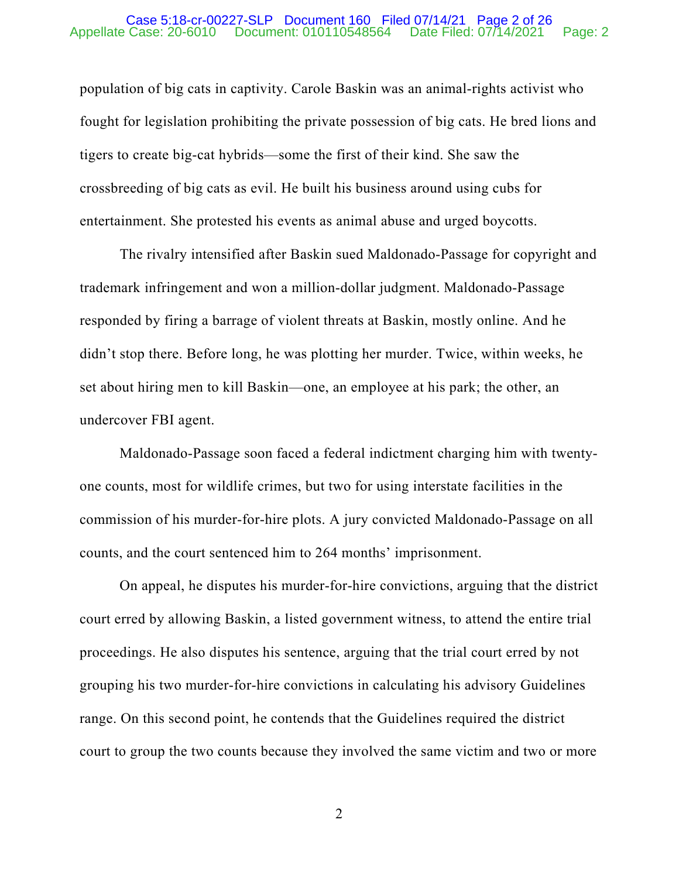### Appellate Case: 20-6010 Document: 010110548564 Date Filed: 07/14/2021 Page: 2 Case 5:18-cr-00227-SLP Document 160 Filed 07/14/21 Page 2 of 26

population of big cats in captivity. Carole Baskin was an animal-rights activist who fought for legislation prohibiting the private possession of big cats. He bred lions and tigers to create big-cat hybrids—some the first of their kind. She saw the crossbreeding of big cats as evil. He built his business around using cubs for entertainment. She protested his events as animal abuse and urged boycotts.

The rivalry intensified after Baskin sued Maldonado-Passage for copyright and trademark infringement and won a million-dollar judgment. Maldonado-Passage responded by firing a barrage of violent threats at Baskin, mostly online. And he didn't stop there. Before long, he was plotting her murder. Twice, within weeks, he set about hiring men to kill Baskin—one, an employee at his park; the other, an undercover FBI agent.

Maldonado-Passage soon faced a federal indictment charging him with twentyone counts, most for wildlife crimes, but two for using interstate facilities in the commission of his murder-for-hire plots. A jury convicted Maldonado-Passage on all counts, and the court sentenced him to 264 months' imprisonment.

On appeal, he disputes his murder-for-hire convictions, arguing that the district court erred by allowing Baskin, a listed government witness, to attend the entire trial proceedings. He also disputes his sentence, arguing that the trial court erred by not grouping his two murder-for-hire convictions in calculating his advisory Guidelines range. On this second point, he contends that the Guidelines required the district court to group the two counts because they involved the same victim and two or more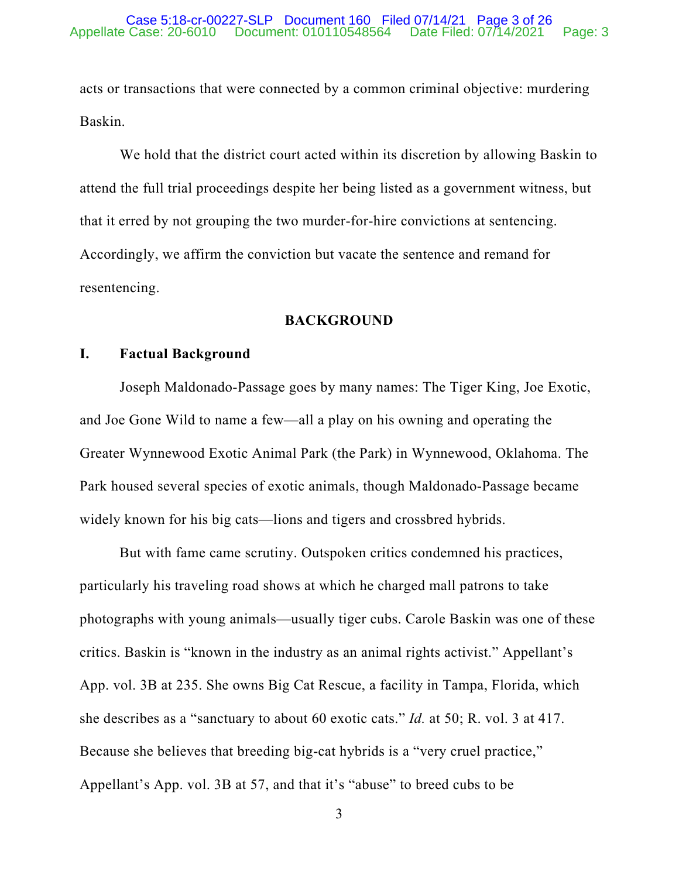acts or transactions that were connected by a common criminal objective: murdering Baskin.

We hold that the district court acted within its discretion by allowing Baskin to attend the full trial proceedings despite her being listed as a government witness, but that it erred by not grouping the two murder-for-hire convictions at sentencing. Accordingly, we affirm the conviction but vacate the sentence and remand for resentencing.

# **BACKGROUND**

# **I. Factual Background**

Joseph Maldonado-Passage goes by many names: The Tiger King, Joe Exotic, and Joe Gone Wild to name a few—all a play on his owning and operating the Greater Wynnewood Exotic Animal Park (the Park) in Wynnewood, Oklahoma. The Park housed several species of exotic animals, though Maldonado-Passage became widely known for his big cats—lions and tigers and crossbred hybrids.

But with fame came scrutiny. Outspoken critics condemned his practices, particularly his traveling road shows at which he charged mall patrons to take photographs with young animals—usually tiger cubs. Carole Baskin was one of these critics. Baskin is "known in the industry as an animal rights activist." Appellant's App. vol. 3B at 235. She owns Big Cat Rescue, a facility in Tampa, Florida, which she describes as a "sanctuary to about 60 exotic cats." *Id.* at 50; R. vol. 3 at 417. Because she believes that breeding big-cat hybrids is a "very cruel practice," Appellant's App. vol. 3B at 57, and that it's "abuse" to breed cubs to be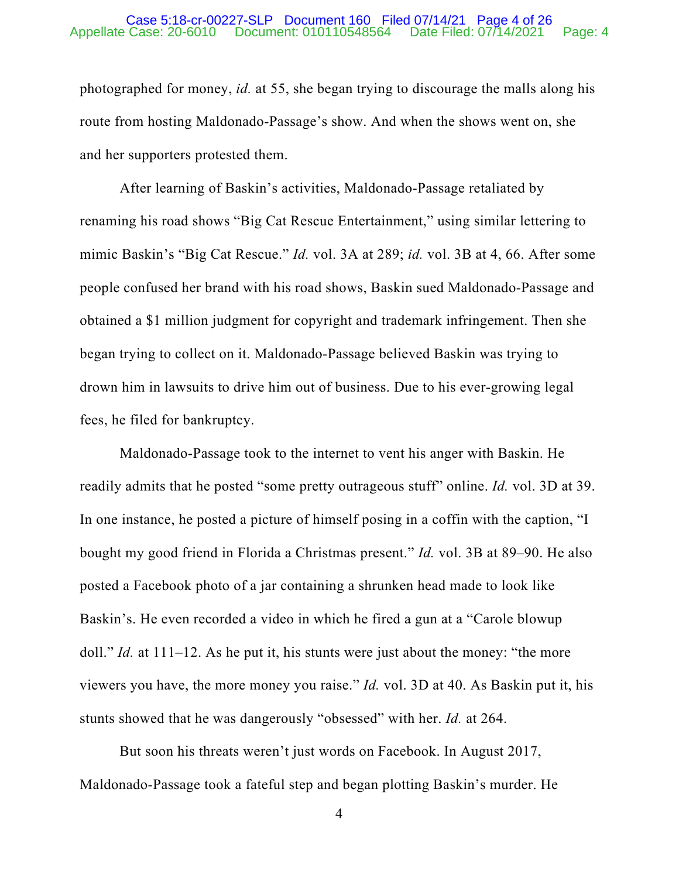### Appellate Case: 20-6010 Document: 010110548564 Date Filed: 07/14/2021 Page: 4 Case 5:18-cr-00227-SLP Document 160 Filed 07/14/21 Page 4 of 26

photographed for money, *id.* at 55, she began trying to discourage the malls along his route from hosting Maldonado-Passage's show. And when the shows went on, she and her supporters protested them.

After learning of Baskin's activities, Maldonado-Passage retaliated by renaming his road shows "Big Cat Rescue Entertainment," using similar lettering to mimic Baskin's "Big Cat Rescue." *Id.* vol. 3A at 289; *id.* vol. 3B at 4, 66. After some people confused her brand with his road shows, Baskin sued Maldonado-Passage and obtained a \$1 million judgment for copyright and trademark infringement. Then she began trying to collect on it. Maldonado-Passage believed Baskin was trying to drown him in lawsuits to drive him out of business. Due to his ever-growing legal fees, he filed for bankruptcy.

Maldonado-Passage took to the internet to vent his anger with Baskin. He readily admits that he posted "some pretty outrageous stuff" online. *Id.* vol. 3D at 39. In one instance, he posted a picture of himself posing in a coffin with the caption, "I bought my good friend in Florida a Christmas present." *Id.* vol. 3B at 89–90. He also posted a Facebook photo of a jar containing a shrunken head made to look like Baskin's. He even recorded a video in which he fired a gun at a "Carole blowup doll." *Id.* at 111–12. As he put it, his stunts were just about the money: "the more viewers you have, the more money you raise." *Id.* vol. 3D at 40. As Baskin put it, his stunts showed that he was dangerously "obsessed" with her. *Id.* at 264.

But soon his threats weren't just words on Facebook. In August 2017, Maldonado-Passage took a fateful step and began plotting Baskin's murder. He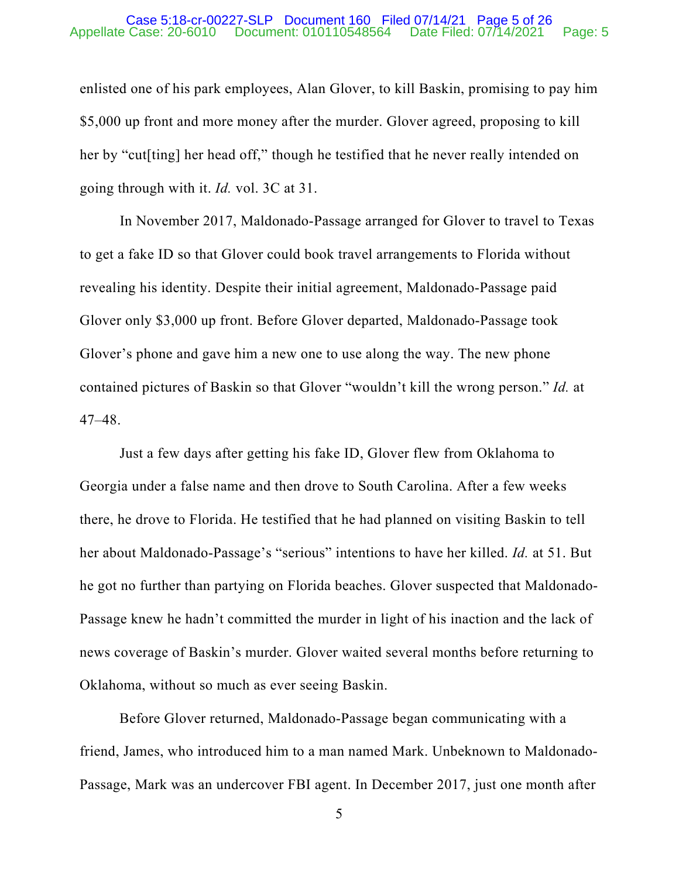### Appellate Case: 20-6010 Document: 010110548564 Date Filed: 07/14/2021 Page: 5 Case 5:18-cr-00227-SLP Document 160 Filed 07/14/21 Page 5 of 26

enlisted one of his park employees, Alan Glover, to kill Baskin, promising to pay him \$5,000 up front and more money after the murder. Glover agreed, proposing to kill her by "cut[ting] her head off," though he testified that he never really intended on going through with it. *Id.* vol. 3C at 31.

In November 2017, Maldonado-Passage arranged for Glover to travel to Texas to get a fake ID so that Glover could book travel arrangements to Florida without revealing his identity. Despite their initial agreement, Maldonado-Passage paid Glover only \$3,000 up front. Before Glover departed, Maldonado-Passage took Glover's phone and gave him a new one to use along the way. The new phone contained pictures of Baskin so that Glover "wouldn't kill the wrong person." *Id.* at 47–48.

Just a few days after getting his fake ID, Glover flew from Oklahoma to Georgia under a false name and then drove to South Carolina. After a few weeks there, he drove to Florida. He testified that he had planned on visiting Baskin to tell her about Maldonado-Passage's "serious" intentions to have her killed. *Id.* at 51. But he got no further than partying on Florida beaches. Glover suspected that Maldonado-Passage knew he hadn't committed the murder in light of his inaction and the lack of news coverage of Baskin's murder. Glover waited several months before returning to Oklahoma, without so much as ever seeing Baskin.

Before Glover returned, Maldonado-Passage began communicating with a friend, James, who introduced him to a man named Mark. Unbeknown to Maldonado-Passage, Mark was an undercover FBI agent. In December 2017, just one month after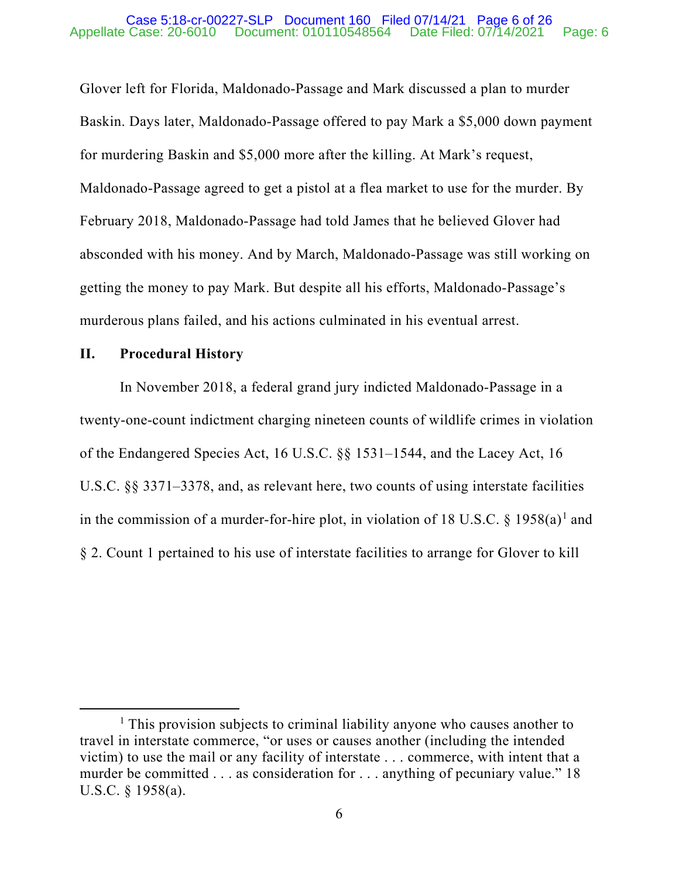# Appellate Case: 20-6010 Document: 010110548564 Date Filed: 07/14/2021 Page: 6 Case 5:18-cr-00227-SLP Document 160 Filed 07/14/21 Page 6 of 26

Glover left for Florida, Maldonado-Passage and Mark discussed a plan to murder Baskin. Days later, Maldonado-Passage offered to pay Mark a \$5,000 down payment for murdering Baskin and \$5,000 more after the killing. At Mark's request, Maldonado-Passage agreed to get a pistol at a flea market to use for the murder. By February 2018, Maldonado-Passage had told James that he believed Glover had absconded with his money. And by March, Maldonado-Passage was still working on getting the money to pay Mark. But despite all his efforts, Maldonado-Passage's murderous plans failed, and his actions culminated in his eventual arrest.

# **II. Procedural History**

In November 2018, a federal grand jury indicted Maldonado-Passage in a twenty-one-count indictment charging nineteen counts of wildlife crimes in violation of the Endangered Species Act, 16 U.S.C. §§ 1531–1544, and the Lacey Act, 16 U.S.C. §§ 3371–3378, and, as relevant here, two counts of using interstate facilities in the commission of a murder-for-hire plot, in violation of [1](#page-23-0)8 U.S.C.  $\S$  1958(a)<sup>1</sup> and § 2. Count 1 pertained to his use of interstate facilities to arrange for Glover to kill

<sup>&</sup>lt;sup>1</sup> This provision subjects to criminal liability anyone who causes another to travel in interstate commerce, "or uses or causes another (including the intended victim) to use the mail or any facility of interstate . . . commerce, with intent that a murder be committed . . . as consideration for . . . anything of pecuniary value." 18 U.S.C. § 1958(a).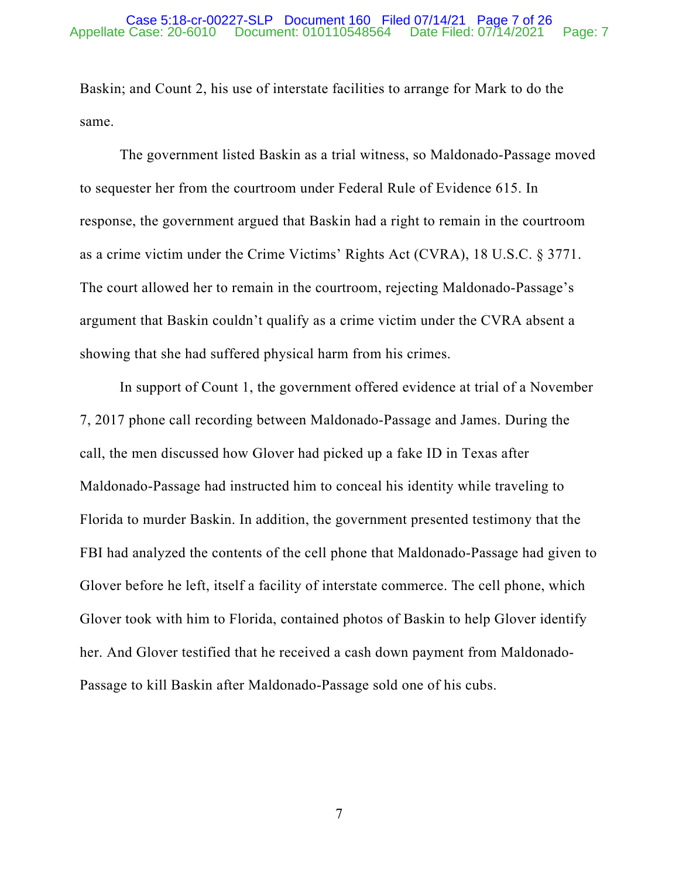### Appellate Case: 20-6010 Document: 010110548564 Date Filed: 07/14/2021 Page: 7 Case 5:18-cr-00227-SLP Document 160 Filed 07/14/21 Page 7 of 26

Baskin; and Count 2, his use of interstate facilities to arrange for Mark to do the same.

The government listed Baskin as a trial witness, so Maldonado-Passage moved to sequester her from the courtroom under Federal Rule of Evidence 615. In response, the government argued that Baskin had a right to remain in the courtroom as a crime victim under the Crime Victims' Rights Act (CVRA), 18 U.S.C. § 3771. The court allowed her to remain in the courtroom, rejecting Maldonado-Passage's argument that Baskin couldn't qualify as a crime victim under the CVRA absent a showing that she had suffered physical harm from his crimes.

In support of Count 1, the government offered evidence at trial of a November 7, 2017 phone call recording between Maldonado-Passage and James. During the call, the men discussed how Glover had picked up a fake ID in Texas after Maldonado-Passage had instructed him to conceal his identity while traveling to Florida to murder Baskin. In addition, the government presented testimony that the FBI had analyzed the contents of the cell phone that Maldonado-Passage had given to Glover before he left, itself a facility of interstate commerce. The cell phone, which Glover took with him to Florida, contained photos of Baskin to help Glover identify her. And Glover testified that he received a cash down payment from Maldonado-Passage to kill Baskin after Maldonado-Passage sold one of his cubs.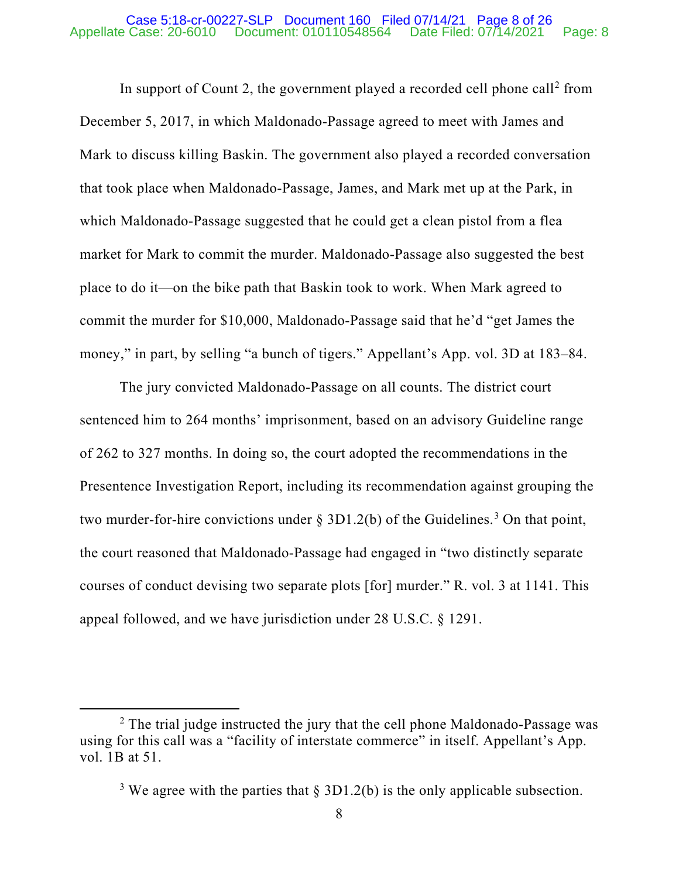### Appellate Case: 20-6010 Document: 010110548564 Date Filed: 07/14/2021 Page: 8 Case 5:18-cr-00227-SLP Document 160 Filed 07/14/21 Page 8 of 26

In support of Count [2](#page-23-0), the government played a recorded cell phone call<sup>2</sup> from December 5, 2017, in which Maldonado-Passage agreed to meet with James and Mark to discuss killing Baskin. The government also played a recorded conversation that took place when Maldonado-Passage, James, and Mark met up at the Park, in which Maldonado-Passage suggested that he could get a clean pistol from a flea market for Mark to commit the murder. Maldonado-Passage also suggested the best place to do it—on the bike path that Baskin took to work. When Mark agreed to commit the murder for \$10,000, Maldonado-Passage said that he'd "get James the money," in part, by selling "a bunch of tigers." Appellant's App. vol. 3D at 183–84.

The jury convicted Maldonado-Passage on all counts. The district court sentenced him to 264 months' imprisonment, based on an advisory Guideline range of 262 to 327 months. In doing so, the court adopted the recommendations in the Presentence Investigation Report, including its recommendation against grouping the two murder-for-hire convictions under  $\S 3D1.2(b)$  $\S 3D1.2(b)$  $\S 3D1.2(b)$  of the Guidelines.<sup>3</sup> On that point, the court reasoned that Maldonado-Passage had engaged in "two distinctly separate courses of conduct devising two separate plots [for] murder." R. vol. 3 at 1141. This appeal followed, and we have jurisdiction under 28 U.S.C. § 1291.

<sup>&</sup>lt;sup>2</sup> The trial judge instructed the jury that the cell phone Maldonado-Passage was using for this call was a "facility of interstate commerce" in itself. Appellant's App. vol. 1B at 51.

<sup>&</sup>lt;sup>3</sup> We agree with the parties that  $\S 3D1.2(b)$  is the only applicable subsection.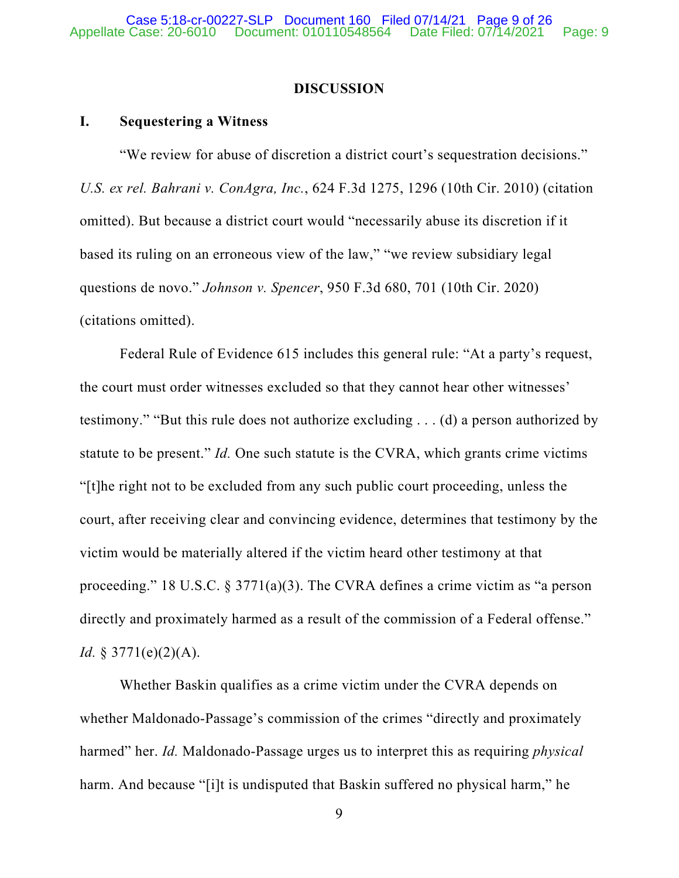# **DISCUSSION**

# **I. Sequestering a Witness**

"We review for abuse of discretion a district court's sequestration decisions." *U.S. ex rel. Bahrani v. ConAgra, Inc.*, 624 F.3d 1275, 1296 (10th Cir. 2010) (citation omitted). But because a district court would "necessarily abuse its discretion if it based its ruling on an erroneous view of the law," "we review subsidiary legal questions de novo." *Johnson v. Spencer*, 950 F.3d 680, 701 (10th Cir. 2020) (citations omitted).

Federal Rule of Evidence 615 includes this general rule: "At a party's request, the court must order witnesses excluded so that they cannot hear other witnesses' testimony." "But this rule does not authorize excluding . . . (d) a person authorized by statute to be present." *Id.* One such statute is the CVRA, which grants crime victims "[t]he right not to be excluded from any such public court proceeding, unless the court, after receiving clear and convincing evidence, determines that testimony by the victim would be materially altered if the victim heard other testimony at that proceeding." 18 U.S.C.  $\S 3771(a)(3)$ . The CVRA defines a crime victim as "a person directly and proximately harmed as a result of the commission of a Federal offense." *Id.* § 3771(e)(2)(A).

Whether Baskin qualifies as a crime victim under the CVRA depends on whether Maldonado-Passage's commission of the crimes "directly and proximately harmed" her. *Id.* Maldonado-Passage urges us to interpret this as requiring *physical* harm. And because "[i]t is undisputed that Baskin suffered no physical harm," he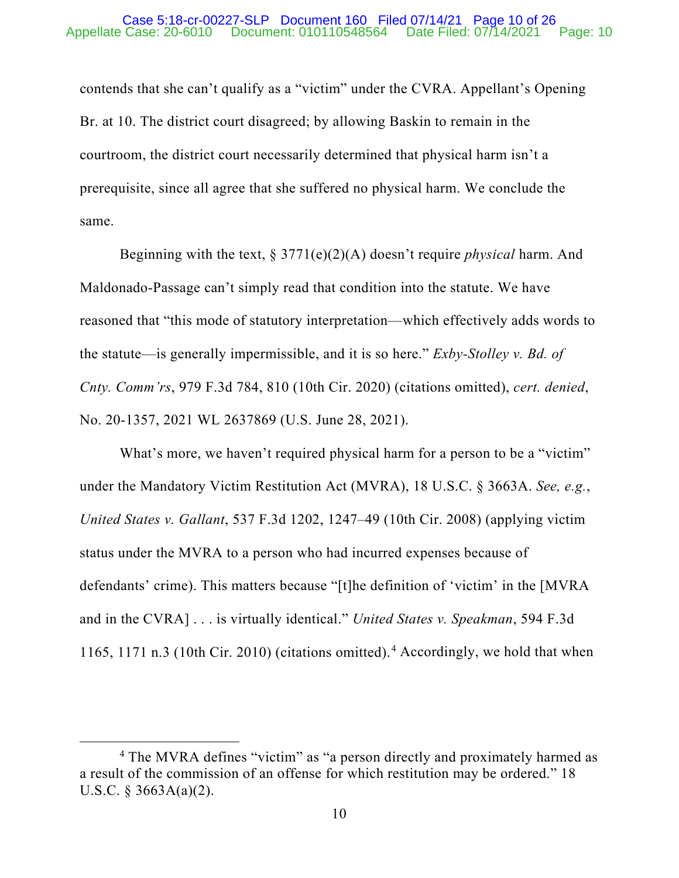# Appellate Case: 20-6010 Document: 010110548564 Date Filed: 07/14/2021 Page: 10 Case 5:18-cr-00227-SLP Document 160 Filed 07/14/21 Page 10 of 26

contends that she can't qualify as a "victim" under the CVRA. Appellant's Opening Br. at 10. The district court disagreed; by allowing Baskin to remain in the courtroom, the district court necessarily determined that physical harm isn't a prerequisite, since all agree that she suffered no physical harm. We conclude the same.

Beginning with the text, § 3771(e)(2)(A) doesn't require *physical* harm. And Maldonado-Passage can't simply read that condition into the statute. We have reasoned that "this mode of statutory interpretation—which effectively adds words to the statute—is generally impermissible, and it is so here." *Exby-Stolley v. Bd. of Cnty. Comm'rs*, 979 F.3d 784, 810 (10th Cir. 2020) (citations omitted), *cert. denied*, No. 20-1357, 2021 WL 2637869 (U.S. June 28, 2021).

What's more, we haven't required physical harm for a person to be a "victim" under the Mandatory Victim Restitution Act (MVRA), 18 U.S.C. § 3663A. *See, e.g.*, *United States v. Gallant*, 537 F.3d 1202, 1247–49 (10th Cir. 2008) (applying victim status under the MVRA to a person who had incurred expenses because of defendants' crime). This matters because "[t]he definition of 'victim' in the [MVRA and in the CVRA] . . . is virtually identical." *United States v. Speakman*, 594 F.3d 1165, 1171 n.3 (10th Cir. 2010) (citations omitted).[4](#page-23-0) Accordingly, we hold that when

<sup>&</sup>lt;sup>4</sup> The MVRA defines "victim" as "a person directly and proximately harmed as a result of the commission of an offense for which restitution may be ordered." 18 U.S.C. § 3663A(a)(2).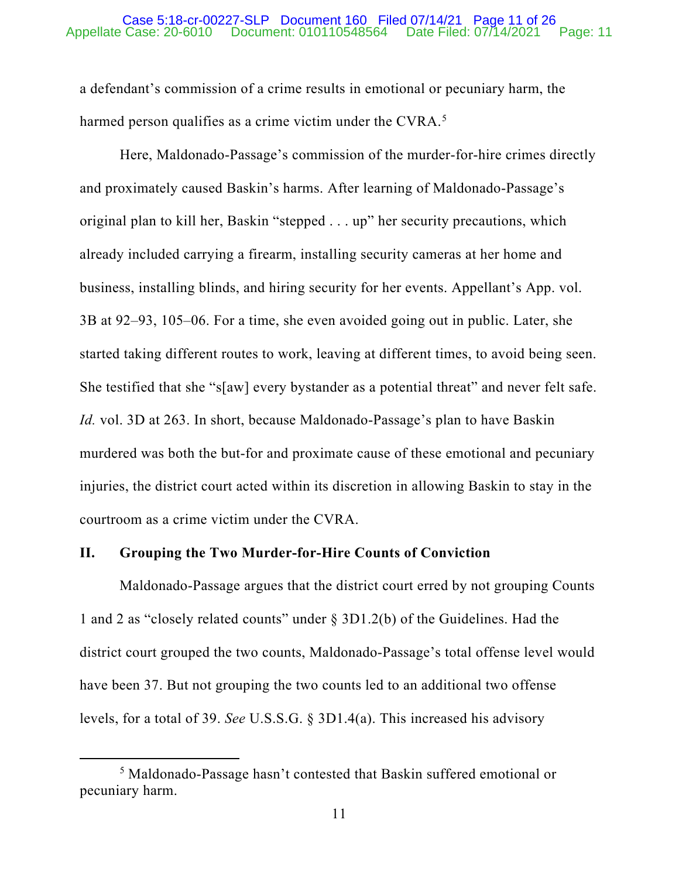### Appellate Case: 20-6010 Document: 010110548564 Date Filed: 07/14/2021 Page: 11 Case 5:18-cr-00227-SLP Document 160 Filed 07/14/21 Page 11 of 26

a defendant's commission of a crime results in emotional or pecuniary harm, the harmed person qualifies as a crime victim under the CVRA.<sup>[5](#page-23-0)</sup>

Here, Maldonado-Passage's commission of the murder-for-hire crimes directly and proximately caused Baskin's harms. After learning of Maldonado-Passage's original plan to kill her, Baskin "stepped . . . up" her security precautions, which already included carrying a firearm, installing security cameras at her home and business, installing blinds, and hiring security for her events. Appellant's App. vol. 3B at 92–93, 105–06. For a time, she even avoided going out in public. Later, she started taking different routes to work, leaving at different times, to avoid being seen. She testified that she "s[aw] every bystander as a potential threat" and never felt safe. *Id.* vol. 3D at 263. In short, because Maldonado-Passage's plan to have Baskin murdered was both the but-for and proximate cause of these emotional and pecuniary injuries, the district court acted within its discretion in allowing Baskin to stay in the courtroom as a crime victim under the CVRA.

# **II. Grouping the Two Murder-for-Hire Counts of Conviction**

Maldonado-Passage argues that the district court erred by not grouping Counts 1 and 2 as "closely related counts" under § 3D1.2(b) of the Guidelines. Had the district court grouped the two counts, Maldonado-Passage's total offense level would have been 37. But not grouping the two counts led to an additional two offense levels, for a total of 39. *See* U.S.S.G. § 3D1.4(a). This increased his advisory

<sup>5</sup> Maldonado-Passage hasn't contested that Baskin suffered emotional or pecuniary harm.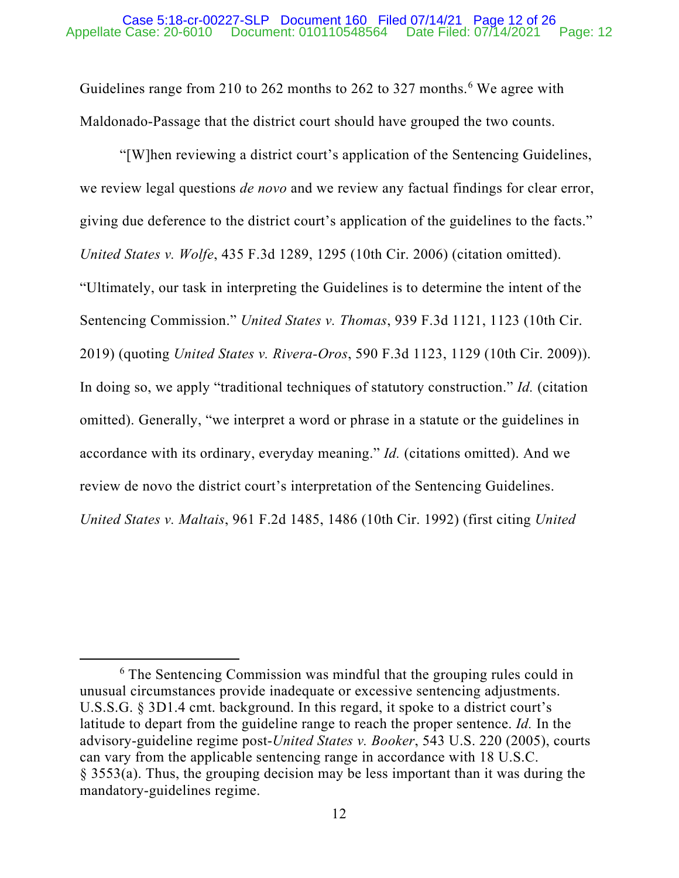# Appellate Case: 20-6010 Document: 010110548564 Date Filed: 07/14/2021 Page: 12 Case 5:18-cr-00227-SLP Document 160 Filed 07/14/21 Page 12 of 26

Guidelines range from 210 to 2[6](#page-23-0)2 months to 262 to 327 months.<sup>6</sup> We agree with Maldonado-Passage that the district court should have grouped the two counts.

"[W]hen reviewing a district court's application of the Sentencing Guidelines, we review legal questions *de novo* and we review any factual findings for clear error, giving due deference to the district court's application of the guidelines to the facts." *United States v. Wolfe*, 435 F.3d 1289, 1295 (10th Cir. 2006) (citation omitted). "Ultimately, our task in interpreting the Guidelines is to determine the intent of the Sentencing Commission." *United States v. Thomas*, 939 F.3d 1121, 1123 (10th Cir. 2019) (quoting *United States v. Rivera-Oros*, 590 F.3d 1123, 1129 (10th Cir. 2009)). In doing so, we apply "traditional techniques of statutory construction." *Id.* (citation omitted). Generally, "we interpret a word or phrase in a statute or the guidelines in accordance with its ordinary, everyday meaning." *Id.* (citations omitted). And we review de novo the district court's interpretation of the Sentencing Guidelines. *United States v. Maltais*, 961 F.2d 1485, 1486 (10th Cir. 1992) (first citing *United* 

<sup>&</sup>lt;sup>6</sup> The Sentencing Commission was mindful that the grouping rules could in unusual circumstances provide inadequate or excessive sentencing adjustments. U.S.S.G. § 3D1.4 cmt. background. In this regard, it spoke to a district court's latitude to depart from the guideline range to reach the proper sentence. *Id.* In the advisory-guideline regime post-*United States v. Booker*, 543 U.S. 220 (2005), courts can vary from the applicable sentencing range in accordance with 18 U.S.C. § 3553(a). Thus, the grouping decision may be less important than it was during the mandatory-guidelines regime.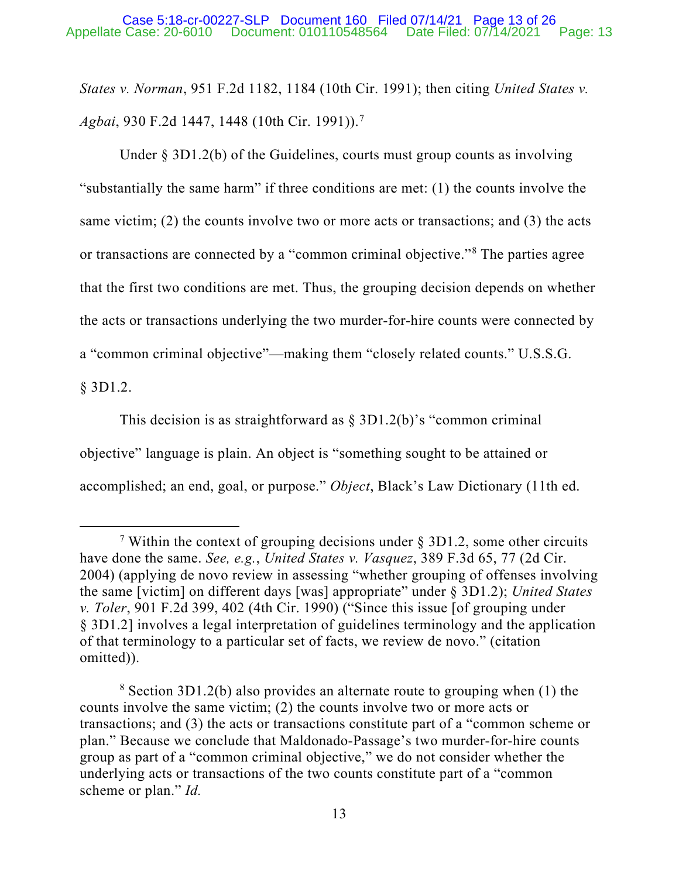*States v. Norman*, 951 F.2d 1182, 1184 (10th Cir. 1991); then citing *United States v. Agbai*, 930 F.2d 1447, 1448 (10th Cir. 1991)). [7](#page-23-0)

Under  $\S 3D1.2(b)$  of the Guidelines, courts must group counts as involving "substantially the same harm" if three conditions are met: (1) the counts involve the same victim; (2) the counts involve two or more acts or transactions; and (3) the acts or transactions are connected by a "common criminal objective."[8](#page-23-0) The parties agree that the first two conditions are met. Thus, the grouping decision depends on whether the acts or transactions underlying the two murder-for-hire counts were connected by a "common criminal objective"—making them "closely related counts." U.S.S.G.

§ 3D1.2.

This decision is as straightforward as  $\S 3D1.2(b)$ 's "common criminal objective" language is plain. An object is "something sought to be attained or accomplished; an end, goal, or purpose." *Object*, Black's Law Dictionary (11th ed.

<sup>&</sup>lt;sup>7</sup> Within the context of grouping decisions under  $\S$  3D1.2, some other circuits have done the same. *See, e.g.*, *United States v. Vasquez*, 389 F.3d 65, 77 (2d Cir. 2004) (applying de novo review in assessing "whether grouping of offenses involving the same [victim] on different days [was] appropriate" under § 3D1.2); *United States v. Toler*, 901 F.2d 399, 402 (4th Cir. 1990) ("Since this issue [of grouping under § 3D1.2] involves a legal interpretation of guidelines terminology and the application of that terminology to a particular set of facts, we review de novo." (citation omitted)).

<sup>8</sup> Section 3D1.2(b) also provides an alternate route to grouping when (1) the counts involve the same victim; (2) the counts involve two or more acts or transactions; and (3) the acts or transactions constitute part of a "common scheme or plan." Because we conclude that Maldonado-Passage's two murder-for-hire counts group as part of a "common criminal objective," we do not consider whether the underlying acts or transactions of the two counts constitute part of a "common scheme or plan." *Id.*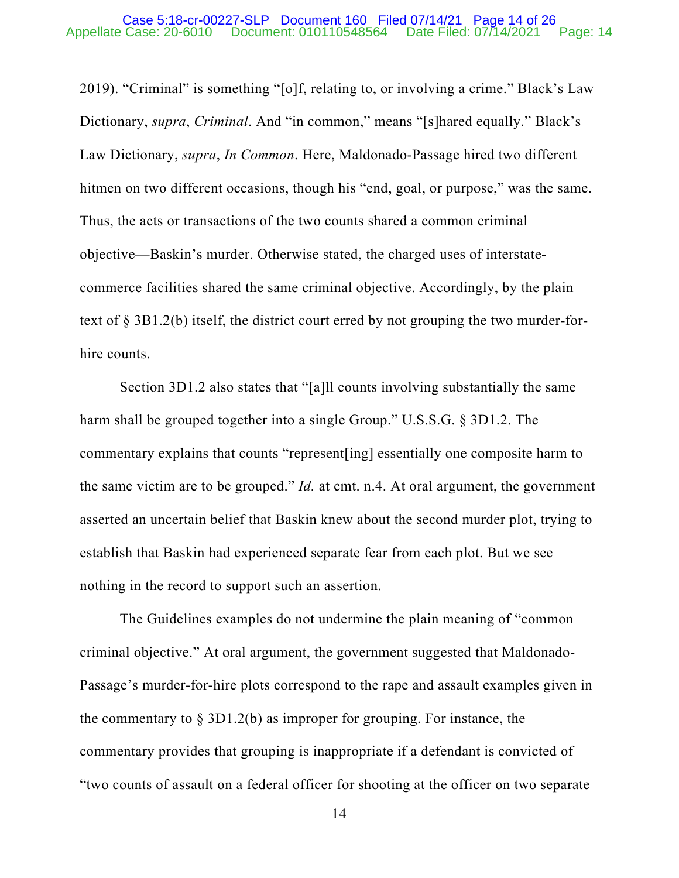### Appellate Case: 20-6010 Document: 010110548564 Date Filed: 07/14/2021 Page: 14 Case 5:18-cr-00227-SLP Document 160 Filed 07/14/21 Page 14 of 26

2019). "Criminal" is something "[o]f, relating to, or involving a crime." Black's Law Dictionary, *supra*, *Criminal*. And "in common," means "[s]hared equally." Black's Law Dictionary, *supra*, *In Common*. Here, Maldonado-Passage hired two different hitmen on two different occasions, though his "end, goal, or purpose," was the same. Thus, the acts or transactions of the two counts shared a common criminal objective—Baskin's murder. Otherwise stated, the charged uses of interstatecommerce facilities shared the same criminal objective. Accordingly, by the plain text of § 3B1.2(b) itself, the district court erred by not grouping the two murder-forhire counts.

Section 3D1.2 also states that "[a]ll counts involving substantially the same harm shall be grouped together into a single Group." U.S.S.G. § 3D1.2. The commentary explains that counts "represent[ing] essentially one composite harm to the same victim are to be grouped." *Id.* at cmt. n.4. At oral argument, the government asserted an uncertain belief that Baskin knew about the second murder plot, trying to establish that Baskin had experienced separate fear from each plot. But we see nothing in the record to support such an assertion.

The Guidelines examples do not undermine the plain meaning of "common criminal objective." At oral argument, the government suggested that Maldonado-Passage's murder-for-hire plots correspond to the rape and assault examples given in the commentary to  $\S 3D1.2(b)$  as improper for grouping. For instance, the commentary provides that grouping is inappropriate if a defendant is convicted of "two counts of assault on a federal officer for shooting at the officer on two separate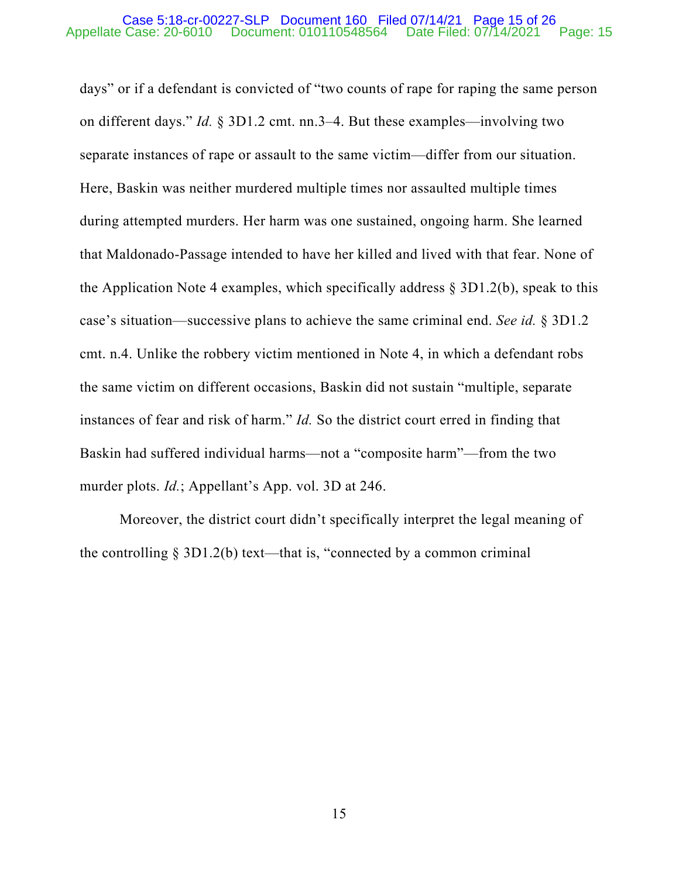### Appellate Case: 20-6010 Document: 010110548564 Date Filed: 07/14/2021 Page: 15 Case 5:18-cr-00227-SLP Document 160 Filed 07/14/21 Page 15 of 26

days" or if a defendant is convicted of "two counts of rape for raping the same person on different days." *Id.* § 3D1.2 cmt. nn.3–4. But these examples—involving two separate instances of rape or assault to the same victim—differ from our situation. Here, Baskin was neither murdered multiple times nor assaulted multiple times during attempted murders. Her harm was one sustained, ongoing harm. She learned that Maldonado-Passage intended to have her killed and lived with that fear. None of the Application Note 4 examples, which specifically address  $\S 3D1.2(b)$ , speak to this case's situation—successive plans to achieve the same criminal end. *See id.* § 3D1.2 cmt. n.4. Unlike the robbery victim mentioned in Note 4, in which a defendant robs the same victim on different occasions, Baskin did not sustain "multiple, separate instances of fear and risk of harm." *Id.* So the district court erred in finding that Baskin had suffered individual harms—not a "composite harm"—from the two murder plots. *Id.*; Appellant's App. vol. 3D at 246.

Moreover, the district court didn't specifically interpret the legal meaning of the controlling  $\S 3D1.2(b)$  text—that is, "connected by a common criminal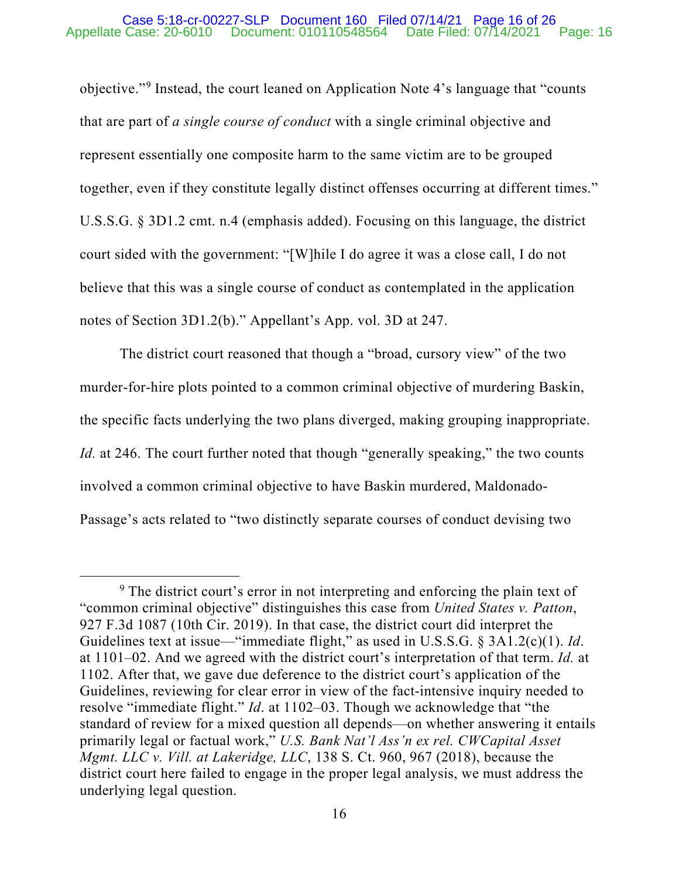### Appellate Case: 20-6010 Document: 010110548564 Date Filed: 07/14/2021 Page: 16 Case 5:18-cr-00227-SLP Document 160 Filed 07/14/21 Page 16 of 26

objective."[9](#page-23-0) Instead, the court leaned on Application Note 4's language that "counts that are part of *a single course of conduct* with a single criminal objective and represent essentially one composite harm to the same victim are to be grouped together, even if they constitute legally distinct offenses occurring at different times." U.S.S.G. § 3D1.2 cmt. n.4 (emphasis added). Focusing on this language, the district court sided with the government: "[W]hile I do agree it was a close call, I do not believe that this was a single course of conduct as contemplated in the application notes of Section 3D1.2(b)." Appellant's App. vol. 3D at 247.

The district court reasoned that though a "broad, cursory view" of the two murder-for-hire plots pointed to a common criminal objective of murdering Baskin, the specific facts underlying the two plans diverged, making grouping inappropriate. *Id.* at 246. The court further noted that though "generally speaking," the two counts involved a common criminal objective to have Baskin murdered, Maldonado-Passage's acts related to "two distinctly separate courses of conduct devising two

<sup>&</sup>lt;sup>9</sup> The district court's error in not interpreting and enforcing the plain text of "common criminal objective" distinguishes this case from *United States v. Patton*, 927 F.3d 1087 (10th Cir. 2019). In that case, the district court did interpret the Guidelines text at issue—"immediate flight," as used in U.S.S.G. § 3A1.2(c)(1). *Id*. at 1101–02. And we agreed with the district court's interpretation of that term. *Id.* at 1102. After that, we gave due deference to the district court's application of the Guidelines, reviewing for clear error in view of the fact-intensive inquiry needed to resolve "immediate flight." *Id*. at 1102–03. Though we acknowledge that "the standard of review for a mixed question all depends—on whether answering it entails primarily legal or factual work," *U.S. Bank Nat'l Ass'n ex rel. CWCapital Asset Mgmt. LLC v. Vill. at Lakeridge, LLC*, 138 S. Ct. 960, 967 (2018), because the district court here failed to engage in the proper legal analysis, we must address the underlying legal question.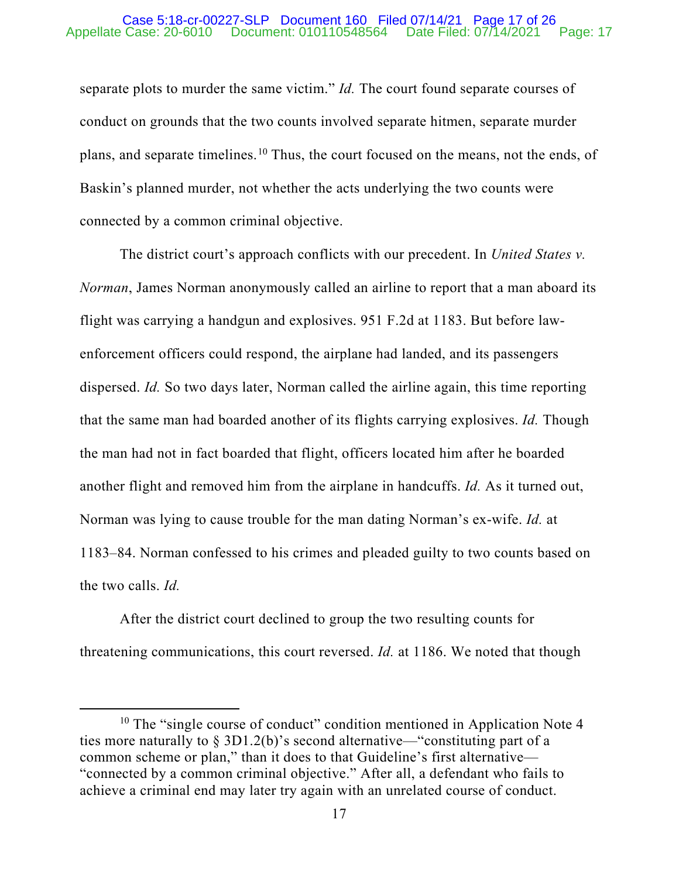### Appellate Case: 20-6010 Document: 010110548564 Date Filed: 07/14/2021 Page: 17 Case 5:18-cr-00227-SLP Document 160 Filed 07/14/21 Page 17 of 26

separate plots to murder the same victim." *Id.* The court found separate courses of conduct on grounds that the two counts involved separate hitmen, separate murder plans, and separate timelines.[10](#page-23-0) Thus, the court focused on the means, not the ends, of Baskin's planned murder, not whether the acts underlying the two counts were connected by a common criminal objective.

The district court's approach conflicts with our precedent. In *United States v. Norman*, James Norman anonymously called an airline to report that a man aboard its flight was carrying a handgun and explosives. 951 F.2d at 1183. But before lawenforcement officers could respond, the airplane had landed, and its passengers dispersed. *Id.* So two days later, Norman called the airline again, this time reporting that the same man had boarded another of its flights carrying explosives. *Id.* Though the man had not in fact boarded that flight, officers located him after he boarded another flight and removed him from the airplane in handcuffs. *Id.* As it turned out, Norman was lying to cause trouble for the man dating Norman's ex-wife. *Id.* at 1183–84. Norman confessed to his crimes and pleaded guilty to two counts based on the two calls. *Id.*

After the district court declined to group the two resulting counts for threatening communications, this court reversed. *Id.* at 1186. We noted that though

 $10$  The "single course of conduct" condition mentioned in Application Note 4 ties more naturally to  $\S 3D1.2(b)$ 's second alternative—"constituting part of a common scheme or plan," than it does to that Guideline's first alternative— "connected by a common criminal objective." After all, a defendant who fails to achieve a criminal end may later try again with an unrelated course of conduct.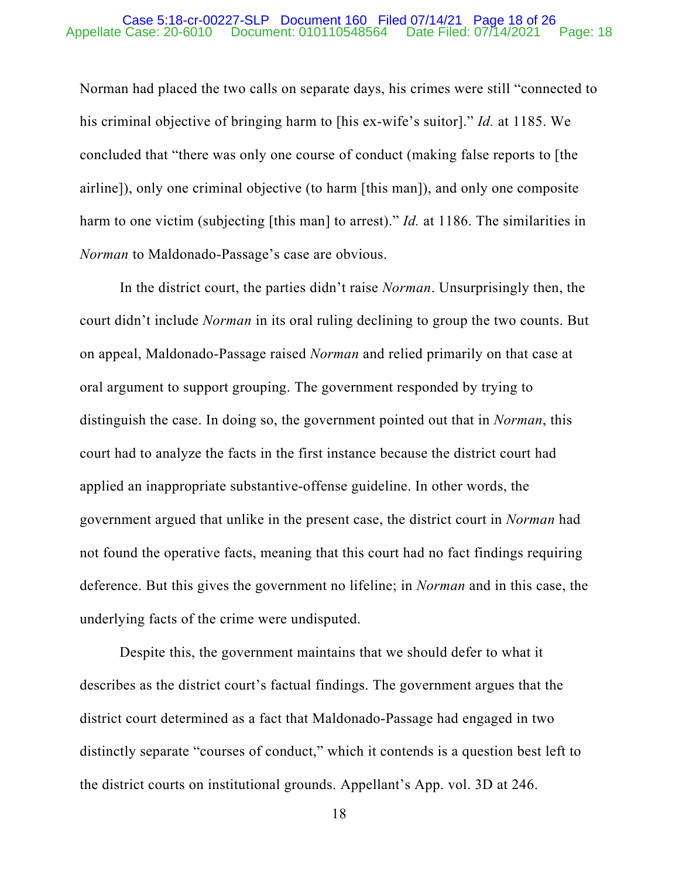### Appellate Case: 20-6010 Document: 010110548564 Date Filed: 07/14/2021 Page: 18 Case 5:18-cr-00227-SLP Document 160 Filed 07/14/21 Page 18 of 26

Norman had placed the two calls on separate days, his crimes were still "connected to his criminal objective of bringing harm to [his ex-wife's suitor]." *Id.* at 1185. We concluded that "there was only one course of conduct (making false reports to [the airline]), only one criminal objective (to harm [this man]), and only one composite harm to one victim (subjecting [this man] to arrest)." *Id.* at 1186. The similarities in *Norman* to Maldonado-Passage's case are obvious.

In the district court, the parties didn't raise *Norman*. Unsurprisingly then, the court didn't include *Norman* in its oral ruling declining to group the two counts. But on appeal, Maldonado-Passage raised *Norman* and relied primarily on that case at oral argument to support grouping. The government responded by trying to distinguish the case. In doing so, the government pointed out that in *Norman*, this court had to analyze the facts in the first instance because the district court had applied an inappropriate substantive-offense guideline. In other words, the government argued that unlike in the present case, the district court in *Norman* had not found the operative facts, meaning that this court had no fact findings requiring deference. But this gives the government no lifeline; in *Norman* and in this case, the underlying facts of the crime were undisputed.

Despite this, the government maintains that we should defer to what it describes as the district court's factual findings. The government argues that the district court determined as a fact that Maldonado-Passage had engaged in two distinctly separate "courses of conduct," which it contends is a question best left to the district courts on institutional grounds. Appellant's App. vol. 3D at 246.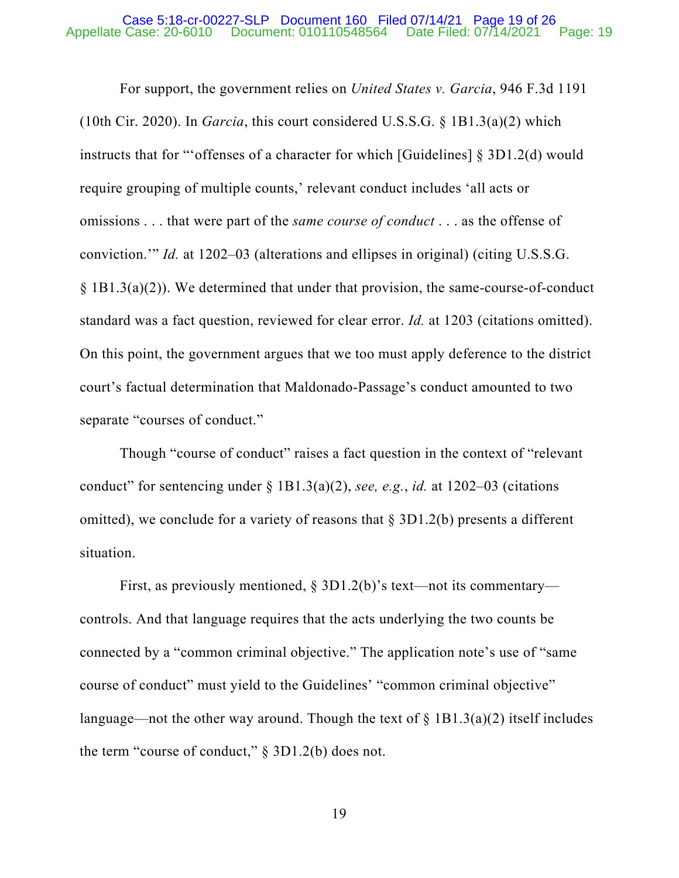### Appellate Case: 20-6010 Document: 010110548564 Date Filed: 07/14/2021 Page: 19 Case 5:18-cr-00227-SLP Document 160 Filed 07/14/21 Page 19 of 26

For support, the government relies on *United States v. Garcia*, 946 F.3d 1191 (10th Cir. 2020). In *Garcia*, this court considered U.S.S.G. § 1B1.3(a)(2) which instructs that for "'offenses of a character for which [Guidelines] § 3D1.2(d) would require grouping of multiple counts,' relevant conduct includes 'all acts or omissions . . . that were part of the *same course of conduct* . . . as the offense of conviction.'" *Id.* at 1202–03 (alterations and ellipses in original) (citing U.S.S.G. § 1B1.3(a)(2)). We determined that under that provision, the same-course-of-conduct standard was a fact question, reviewed for clear error. *Id.* at 1203 (citations omitted). On this point, the government argues that we too must apply deference to the district court's factual determination that Maldonado-Passage's conduct amounted to two separate "courses of conduct."

Though "course of conduct" raises a fact question in the context of "relevant conduct" for sentencing under § 1B1.3(a)(2), *see, e.g.*, *id.* at 1202–03 (citations omitted), we conclude for a variety of reasons that  $\S 3D1.2(b)$  presents a different situation.

First, as previously mentioned, § 3D1.2(b)'s text—not its commentary controls. And that language requires that the acts underlying the two counts be connected by a "common criminal objective." The application note's use of "same course of conduct" must yield to the Guidelines' "common criminal objective" language—not the other way around. Though the text of  $\S$  1B1.3(a)(2) itself includes the term "course of conduct," § 3D1.2(b) does not.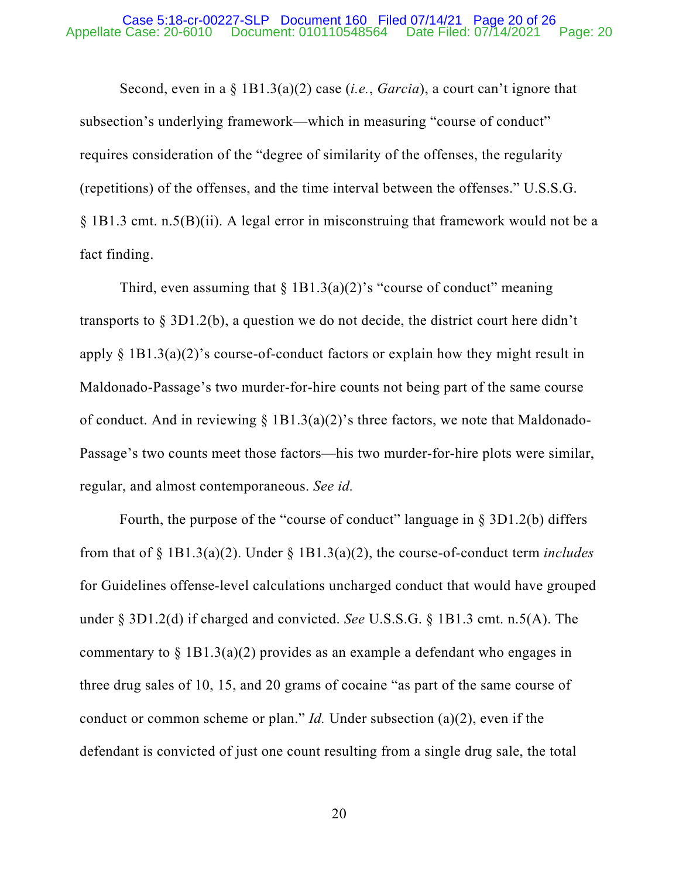### Appellate Case: 20-6010 Document: 010110548564 Date Filed: 07/14/2021 Page: 20 Case 5:18-cr-00227-SLP Document 160 Filed 07/14/21 Page 20 of 26

Second, even in a § 1B1.3(a)(2) case (*i.e.*, *Garcia*), a court can't ignore that subsection's underlying framework—which in measuring "course of conduct" requires consideration of the "degree of similarity of the offenses, the regularity (repetitions) of the offenses, and the time interval between the offenses." U.S.S.G. § 1B1.3 cmt. n.5(B)(ii). A legal error in misconstruing that framework would not be a fact finding.

Third, even assuming that  $\S$  1B1.3(a)(2)'s "course of conduct" meaning transports to § 3D1.2(b), a question we do not decide, the district court here didn't apply  $\S$  1B1.3(a)(2)'s course-of-conduct factors or explain how they might result in Maldonado-Passage's two murder-for-hire counts not being part of the same course of conduct. And in reviewing  $\S$  1B1.3(a)(2)'s three factors, we note that Maldonado-Passage's two counts meet those factors—his two murder-for-hire plots were similar, regular, and almost contemporaneous. *See id.*

Fourth, the purpose of the "course of conduct" language in § 3D1.2(b) differs from that of § 1B1.3(a)(2). Under § 1B1.3(a)(2), the course-of-conduct term *includes* for Guidelines offense-level calculations uncharged conduct that would have grouped under § 3D1.2(d) if charged and convicted. *See* U.S.S.G. § 1B1.3 cmt. n.5(A). The commentary to  $\S 1B1.3(a)(2)$  provides as an example a defendant who engages in three drug sales of 10, 15, and 20 grams of cocaine "as part of the same course of conduct or common scheme or plan." *Id.* Under subsection (a)(2), even if the defendant is convicted of just one count resulting from a single drug sale, the total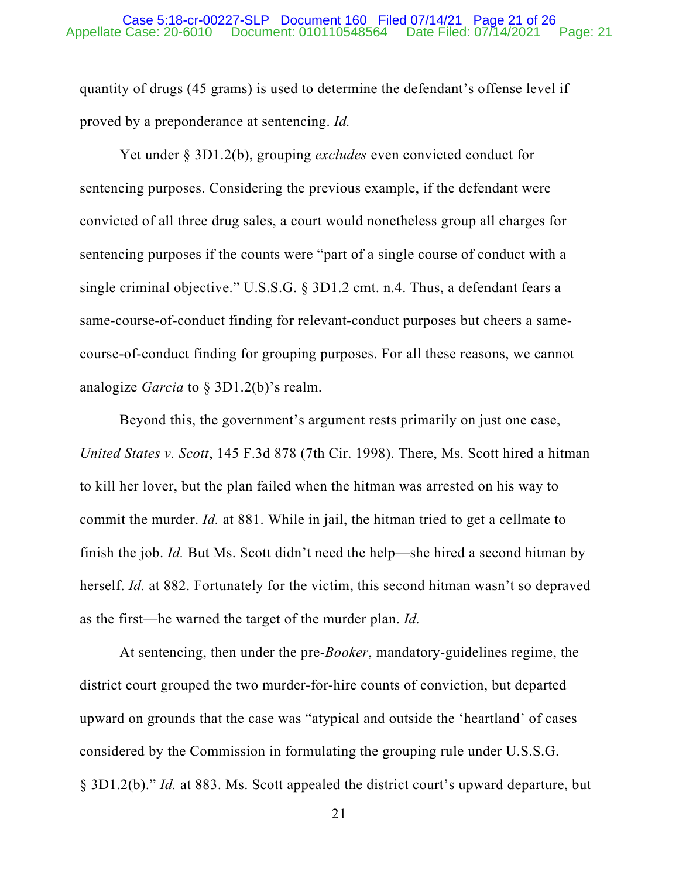### Appellate Case: 20-6010 Document: 010110548564 Date Filed: 07/14/2021 Page: 21 Case 5:18-cr-00227-SLP Document 160 Filed 07/14/21 Page 21 of 26

quantity of drugs (45 grams) is used to determine the defendant's offense level if proved by a preponderance at sentencing. *Id.*

Yet under § 3D1.2(b), grouping *excludes* even convicted conduct for sentencing purposes. Considering the previous example, if the defendant were convicted of all three drug sales, a court would nonetheless group all charges for sentencing purposes if the counts were "part of a single course of conduct with a single criminal objective." U.S.S.G. § 3D1.2 cmt. n.4. Thus, a defendant fears a same-course-of-conduct finding for relevant-conduct purposes but cheers a samecourse-of-conduct finding for grouping purposes. For all these reasons, we cannot analogize *Garcia* to § 3D1.2(b)'s realm.

Beyond this, the government's argument rests primarily on just one case, *United States v. Scott*, 145 F.3d 878 (7th Cir. 1998). There, Ms. Scott hired a hitman to kill her lover, but the plan failed when the hitman was arrested on his way to commit the murder. *Id.* at 881. While in jail, the hitman tried to get a cellmate to finish the job. *Id.* But Ms. Scott didn't need the help—she hired a second hitman by herself. *Id.* at 882. Fortunately for the victim, this second hitman wasn't so depraved as the first—he warned the target of the murder plan. *Id.*

At sentencing, then under the pre-*Booker*, mandatory-guidelines regime, the district court grouped the two murder-for-hire counts of conviction, but departed upward on grounds that the case was "atypical and outside the 'heartland' of cases considered by the Commission in formulating the grouping rule under U.S.S.G. § 3D1.2(b)." *Id.* at 883. Ms. Scott appealed the district court's upward departure, but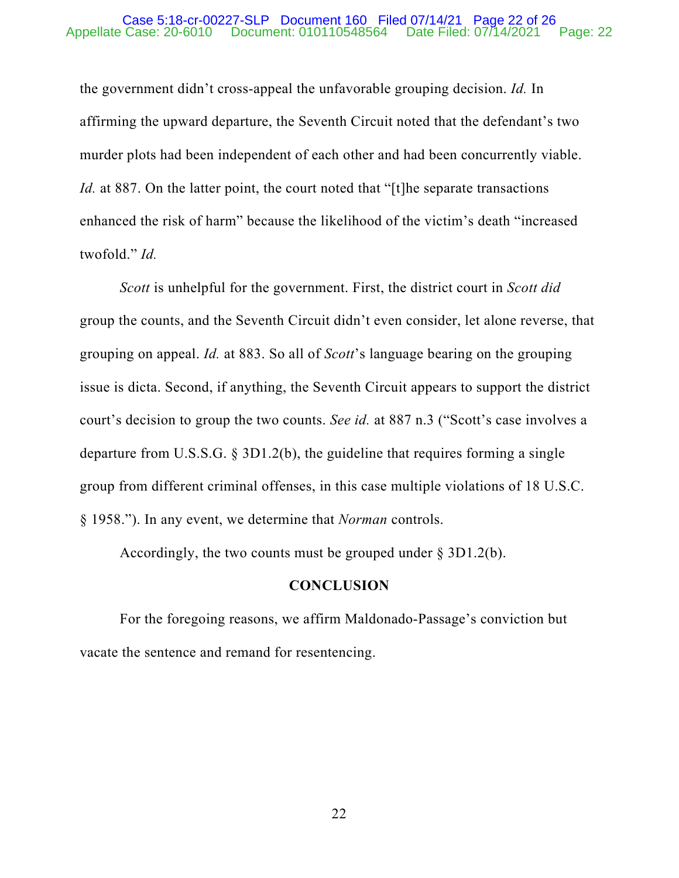### Appellate Case: 20-6010 Document: 010110548564 Date Filed: 07/14/2021 Page: 22 Case 5:18-cr-00227-SLP Document 160 Filed 07/14/21 Page 22 of 26

the government didn't cross-appeal the unfavorable grouping decision. *Id.* In affirming the upward departure, the Seventh Circuit noted that the defendant's two murder plots had been independent of each other and had been concurrently viable. *Id.* at 887. On the latter point, the court noted that "[t]he separate transactions enhanced the risk of harm" because the likelihood of the victim's death "increased twofold." *Id.*

*Scott* is unhelpful for the government. First, the district court in *Scott did* group the counts, and the Seventh Circuit didn't even consider, let alone reverse, that grouping on appeal. *Id.* at 883. So all of *Scott*'s language bearing on the grouping issue is dicta. Second, if anything, the Seventh Circuit appears to support the district court's decision to group the two counts. *See id.* at 887 n.3 ("Scott's case involves a departure from U.S.S.G. § 3D1.2(b), the guideline that requires forming a single group from different criminal offenses, in this case multiple violations of 18 U.S.C. § 1958."). In any event, we determine that *Norman* controls.

Accordingly, the two counts must be grouped under  $\S 3D1.2(b)$ .

# **CONCLUSION**

For the foregoing reasons, we affirm Maldonado-Passage's conviction but vacate the sentence and remand for resentencing.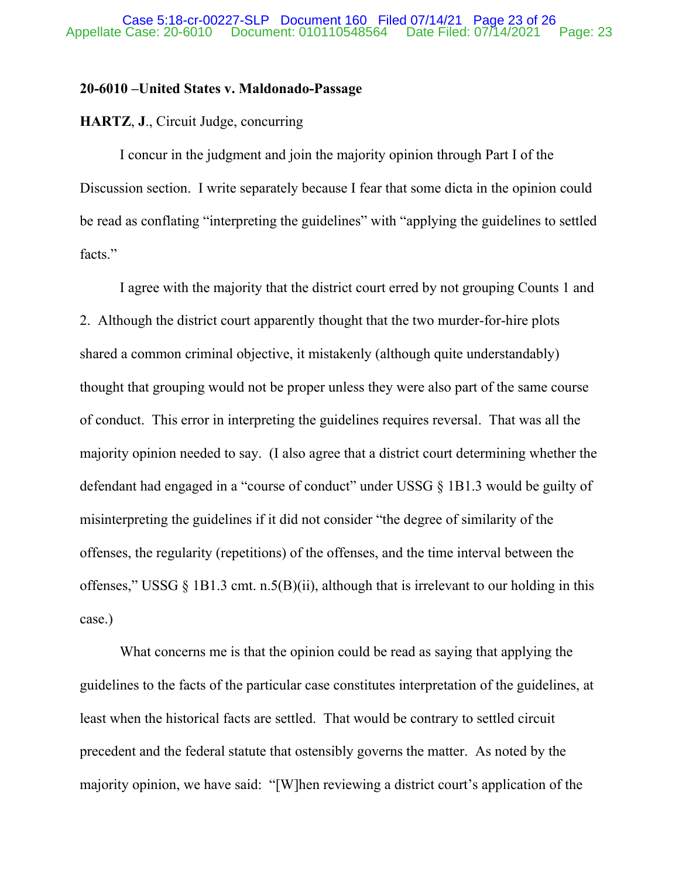# **20-6010 –United States v. Maldonado-Passage**

# **HARTZ**, **J**., Circuit Judge, concurring

I concur in the judgment and join the majority opinion through Part I of the Discussion section. I write separately because I fear that some dicta in the opinion could be read as conflating "interpreting the guidelines" with "applying the guidelines to settled facts."

I agree with the majority that the district court erred by not grouping Counts 1 and 2. Although the district court apparently thought that the two murder-for-hire plots shared a common criminal objective, it mistakenly (although quite understandably) thought that grouping would not be proper unless they were also part of the same course of conduct. This error in interpreting the guidelines requires reversal. That was all the majority opinion needed to say. (I also agree that a district court determining whether the defendant had engaged in a "course of conduct" under USSG § 1B1.3 would be guilty of misinterpreting the guidelines if it did not consider "the degree of similarity of the offenses, the regularity (repetitions) of the offenses, and the time interval between the offenses," USSG  $\S$  1B1.3 cmt. n.5(B)(ii), although that is irrelevant to our holding in this case.)

What concerns me is that the opinion could be read as saying that applying the guidelines to the facts of the particular case constitutes interpretation of the guidelines, at least when the historical facts are settled. That would be contrary to settled circuit precedent and the federal statute that ostensibly governs the matter. As noted by the majority opinion, we have said: "[W]hen reviewing a district court's application of the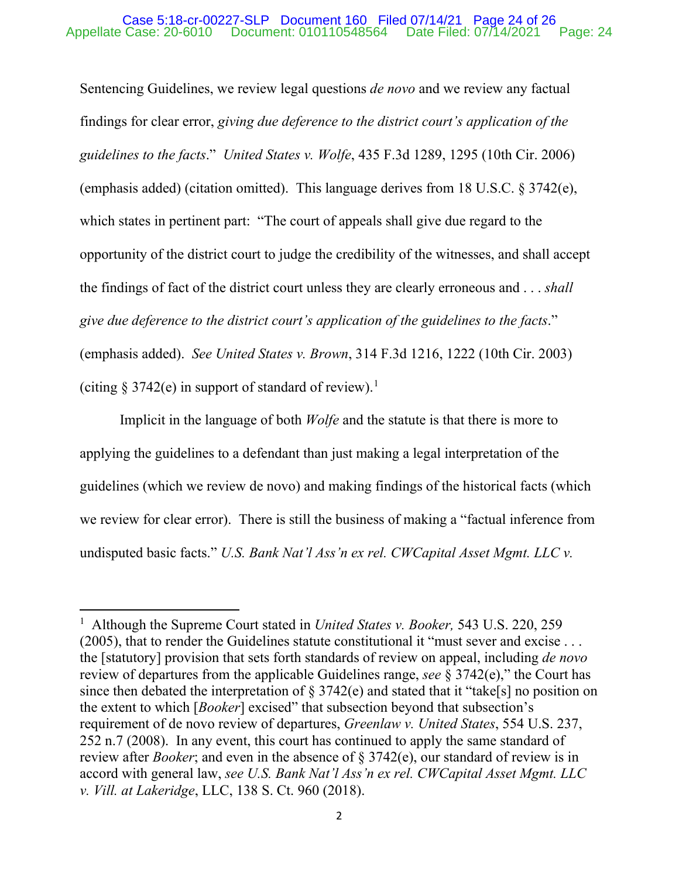# Appellate Case: 20-6010 Document: 010110548564 Date Filed: 07/14/2021 Page: 24 Case 5:18-cr-00227-SLP Document 160 Filed 07/14/21 Page 24 of 26

Sentencing Guidelines, we review legal questions *de novo* and we review any factual findings for clear error, *giving due deference to the district court's application of the guidelines to the facts*." *United States v. Wolfe*, 435 F.3d 1289, 1295 (10th Cir. 2006) (emphasis added) (citation omitted). This language derives from 18 U.S.C. § 3742(e), which states in pertinent part: "The court of appeals shall give due regard to the opportunity of the district court to judge the credibility of the witnesses, and shall accept the findings of fact of the district court unless they are clearly erroneous and . . . *shall give due deference to the district court's application of the guidelines to the facts*." (emphasis added). *See United States v. Brown*, 314 F.3d 1216, 1222 (10th Cir. 2003) (citing  $\S 3742(e)$  in support of standard of review).<sup>[1](#page-23-0)</sup>

Implicit in the language of both *Wolfe* and the statute is that there is more to applying the guidelines to a defendant than just making a legal interpretation of the guidelines (which we review de novo) and making findings of the historical facts (which we review for clear error). There is still the business of making a "factual inference from undisputed basic facts." *U.S. Bank Nat'l Ass'n ex rel. CWCapital Asset Mgmt. LLC v.* 

<span id="page-23-0"></span><sup>1</sup> Although the Supreme Court stated in *United States v. Booker,* 543 U.S. 220, 259 (2005), that to render the Guidelines statute constitutional it "must sever and excise . . . the [statutory] provision that sets forth standards of review on appeal, including *de novo* review of departures from the applicable Guidelines range, *see* § 3742(e)," the Court has since then debated the interpretation of  $\S 3742(e)$  and stated that it "take[s] no position on the extent to which [*Booker*] excised" that subsection beyond that subsection's requirement of de novo review of departures, *Greenlaw v. United States*, 554 U.S. 237, 252 n.7 (2008). In any event, this court has continued to apply the same standard of review after *Booker*; and even in the absence of § 3742(e), our standard of review is in accord with general law, *see U.S. Bank Nat'l Ass'n ex rel. CWCapital Asset Mgmt. LLC v. Vill. at Lakeridge*, LLC, 138 S. Ct. 960 (2018).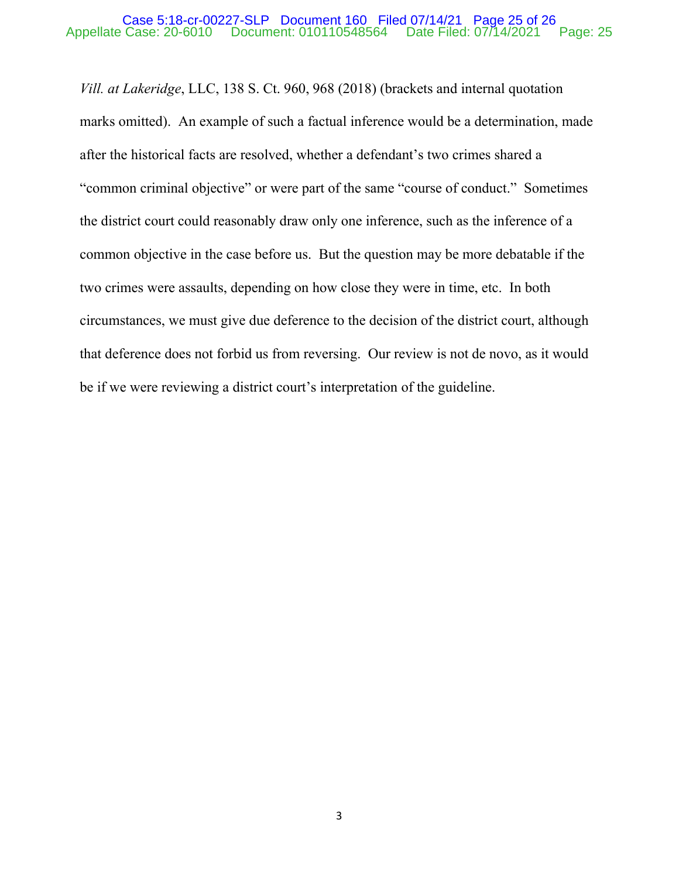# Appellate Case: 20-6010 Document: 010110548564 Date Filed: 07/14/2021 Page: 25 Case 5:18-cr-00227-SLP Document 160 Filed 07/14/21 Page 25 of 26

*Vill. at Lakeridge*, LLC, 138 S. Ct. 960, 968 (2018) (brackets and internal quotation marks omitted). An example of such a factual inference would be a determination, made after the historical facts are resolved, whether a defendant's two crimes shared a "common criminal objective" or were part of the same "course of conduct." Sometimes the district court could reasonably draw only one inference, such as the inference of a common objective in the case before us. But the question may be more debatable if the two crimes were assaults, depending on how close they were in time, etc. In both circumstances, we must give due deference to the decision of the district court, although that deference does not forbid us from reversing. Our review is not de novo, as it would be if we were reviewing a district court's interpretation of the guideline.